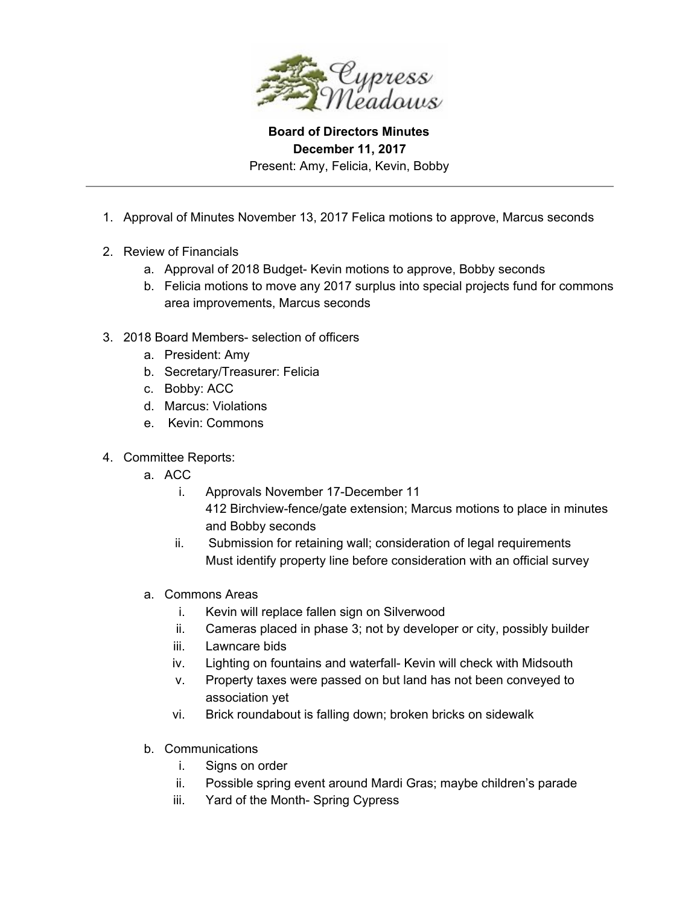

**Board of Directors Minutes December 11, 2017** Present: Amy, Felicia, Kevin, Bobby

- 1. Approval of Minutes November 13, 2017 Felica motions to approve, Marcus seconds
- 2. Review of Financials
	- a. Approval of 2018 Budget- Kevin motions to approve, Bobby seconds
	- b. Felicia motions to move any 2017 surplus into special projects fund for commons area improvements, Marcus seconds
- 3. 2018 Board Members- selection of officers
	- a. President: Amy
	- b. Secretary/Treasurer: Felicia
	- c. Bobby: ACC
	- d. Marcus: Violations
	- e. Kevin: Commons
- 4. Committee Reports:
	- a. ACC
		- i. Approvals November 17-December 11
			- 412 Birchview-fence/gate extension; Marcus motions to place in minutes and Bobby seconds
		- ii. Submission for retaining wall; consideration of legal requirements Must identify property line before consideration with an official survey
	- a. Commons Areas
		- i. Kevin will replace fallen sign on Silverwood
		- ii. Cameras placed in phase 3; not by developer or city, possibly builder
		- iii. Lawncare bids
		- iv. Lighting on fountains and waterfall- Kevin will check with Midsouth
		- v. Property taxes were passed on but land has not been conveyed to association yet
		- vi. Brick roundabout is falling down; broken bricks on sidewalk
	- b. Communications
		- i. Signs on order
		- ii. Possible spring event around Mardi Gras; maybe children's parade
		- iii. Yard of the Month- Spring Cypress